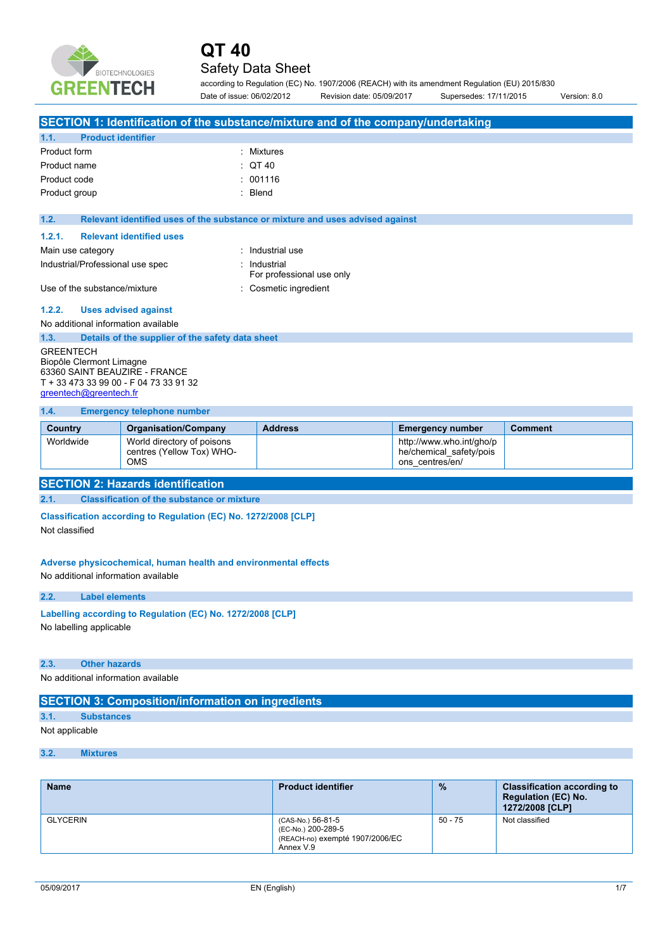

### Safety Data Sheet

according to Regulation (EC) No. 1907/2006 (REACH) with its amendment Regulation (EU) 2015/830 Date of issue: 06/02/2012 Revision date: 05/09/2017 Supersedes: 17/11/2015 Version: 8.0

| SECTION 1: Identification of the substance/mixture and of the company/undertaking |                                                                 |                                                                               |                          |  |  |  |  |
|-----------------------------------------------------------------------------------|-----------------------------------------------------------------|-------------------------------------------------------------------------------|--------------------------|--|--|--|--|
| 1.1.<br><b>Product identifier</b>                                                 |                                                                 |                                                                               |                          |  |  |  |  |
| Product form                                                                      | : Mixtures                                                      |                                                                               |                          |  |  |  |  |
| Product name                                                                      |                                                                 | $:$ QT 40                                                                     |                          |  |  |  |  |
| Product code                                                                      |                                                                 | : 001116                                                                      |                          |  |  |  |  |
| Product group                                                                     |                                                                 | : Blend                                                                       |                          |  |  |  |  |
|                                                                                   |                                                                 |                                                                               |                          |  |  |  |  |
| 1.2.                                                                              |                                                                 | Relevant identified uses of the substance or mixture and uses advised against |                          |  |  |  |  |
| 1.2.1.                                                                            | <b>Relevant identified uses</b>                                 |                                                                               |                          |  |  |  |  |
| Main use category                                                                 |                                                                 | : Industrial use                                                              |                          |  |  |  |  |
| Industrial/Professional use spec                                                  |                                                                 | : Industrial<br>For professional use only                                     |                          |  |  |  |  |
| Use of the substance/mixture                                                      |                                                                 | : Cosmetic ingredient                                                         |                          |  |  |  |  |
| 1.2.2.                                                                            | <b>Uses advised against</b>                                     |                                                                               |                          |  |  |  |  |
| No additional information available                                               |                                                                 |                                                                               |                          |  |  |  |  |
| 1.3.                                                                              | Details of the supplier of the safety data sheet                |                                                                               |                          |  |  |  |  |
| <b>GREENTECH</b><br>Biopôle Clermont Limagne                                      |                                                                 |                                                                               |                          |  |  |  |  |
| 63360 SAINT BEAUZIRE - FRANCE                                                     |                                                                 |                                                                               |                          |  |  |  |  |
| T + 33 473 33 99 00 - F 04 73 33 91 32                                            |                                                                 |                                                                               |                          |  |  |  |  |
| greentech@greentech.fr                                                            |                                                                 |                                                                               |                          |  |  |  |  |
| 1.4.                                                                              | <b>Emergency telephone number</b>                               |                                                                               |                          |  |  |  |  |
| <b>Address</b><br><b>Comment</b>                                                  |                                                                 |                                                                               |                          |  |  |  |  |
| Country                                                                           | <b>Organisation/Company</b>                                     |                                                                               | <b>Emergency number</b>  |  |  |  |  |
| Worldwide                                                                         | World directory of poisons                                      |                                                                               | http://www.who.int/gho/p |  |  |  |  |
|                                                                                   | centres (Yellow Tox) WHO-                                       |                                                                               | he/chemical_safety/pois  |  |  |  |  |
|                                                                                   | <b>OMS</b>                                                      |                                                                               | ons_centres/en/          |  |  |  |  |
|                                                                                   | <b>SECTION 2: Hazards identification</b>                        |                                                                               |                          |  |  |  |  |
| 2.1.                                                                              | <b>Classification of the substance or mixture</b>               |                                                                               |                          |  |  |  |  |
|                                                                                   | Classification according to Regulation (EC) No. 1272/2008 [CLP] |                                                                               |                          |  |  |  |  |
| Not classified                                                                    |                                                                 |                                                                               |                          |  |  |  |  |
|                                                                                   |                                                                 |                                                                               |                          |  |  |  |  |
|                                                                                   |                                                                 |                                                                               |                          |  |  |  |  |
|                                                                                   | Adverse physicochemical, human health and environmental effects |                                                                               |                          |  |  |  |  |
| No additional information available                                               |                                                                 |                                                                               |                          |  |  |  |  |
| 2.2.<br><b>Label elements</b>                                                     |                                                                 |                                                                               |                          |  |  |  |  |
|                                                                                   | Labelling according to Regulation (EC) No. 1272/2008 [CLP]      |                                                                               |                          |  |  |  |  |
| No labelling applicable                                                           |                                                                 |                                                                               |                          |  |  |  |  |
|                                                                                   |                                                                 |                                                                               |                          |  |  |  |  |
|                                                                                   |                                                                 |                                                                               |                          |  |  |  |  |
| <b>Other hazards</b><br>2.3.                                                      |                                                                 |                                                                               |                          |  |  |  |  |
| No additional information available                                               |                                                                 |                                                                               |                          |  |  |  |  |
|                                                                                   | <b>SECTION 3: Composition/information on ingredients</b>        |                                                                               |                          |  |  |  |  |

#### Not applicable

#### **3.2. Mixtures**

| <b>Name</b>     | <b>Product identifier</b>                                                               | $\frac{9}{6}$ | <b>Classification according to</b><br><b>Regulation (EC) No.</b><br>1272/2008 [CLP] |
|-----------------|-----------------------------------------------------------------------------------------|---------------|-------------------------------------------------------------------------------------|
| <b>GLYCERIN</b> | (CAS-No.) 56-81-5<br>(EC-No.) 200-289-5<br>(REACH-no) exempté 1907/2006/EC<br>Annex V.9 | $50 - 75$     | Not classified                                                                      |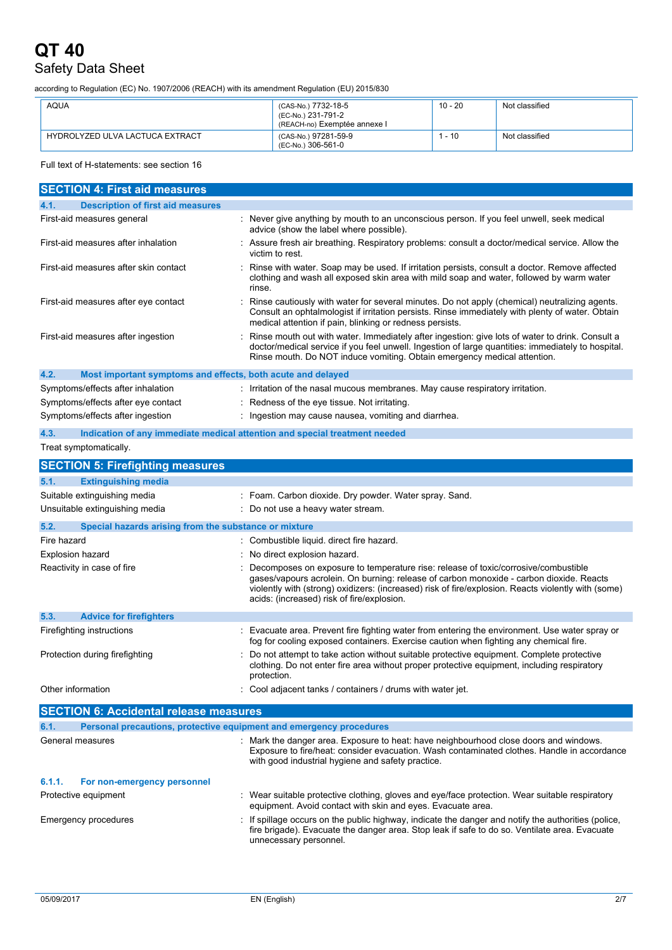## Safety Data Sheet

according to Regulation (EC) No. 1907/2006 (REACH) with its amendment Regulation (EU) 2015/830

| <b>AQUA</b>                     | (CAS-No.) 7732-18-5<br>(EC-No.) 231-791-2<br>(REACH-no) Exemptée annexe l | 10 - 20  | Not classified |
|---------------------------------|---------------------------------------------------------------------------|----------|----------------|
| HYDROLYZED ULVA LACTUCA EXTRACT | (CAS-No.) 97281-59-9<br>(EC-No.) 306-561-0                                | $1 - 10$ | Not classified |

#### Full text of H-statements: see section 16

| <b>SECTION 4: First aid measures</b>                                        |                                                                                                                                                                                                                                                                                                                                    |
|-----------------------------------------------------------------------------|------------------------------------------------------------------------------------------------------------------------------------------------------------------------------------------------------------------------------------------------------------------------------------------------------------------------------------|
| <b>Description of first aid measures</b><br>4.1.                            |                                                                                                                                                                                                                                                                                                                                    |
| First-aid measures general                                                  | : Never give anything by mouth to an unconscious person. If you feel unwell, seek medical<br>advice (show the label where possible).                                                                                                                                                                                               |
| First-aid measures after inhalation                                         | Assure fresh air breathing. Respiratory problems: consult a doctor/medical service. Allow the<br>victim to rest.                                                                                                                                                                                                                   |
| First-aid measures after skin contact                                       | Rinse with water. Soap may be used. If irritation persists, consult a doctor. Remove affected<br>clothing and wash all exposed skin area with mild soap and water, followed by warm water<br>rinse.                                                                                                                                |
| First-aid measures after eye contact                                        | Rinse cautiously with water for several minutes. Do not apply (chemical) neutralizing agents.<br>Consult an ophtalmologist if irritation persists. Rinse immediately with plenty of water. Obtain<br>medical attention if pain, blinking or redness persists.                                                                      |
| First-aid measures after ingestion                                          | Rinse mouth out with water. Immediately after ingestion: give lots of water to drink. Consult a<br>doctor/medical service if you feel unwell. Ingestion of large quantities: immediately to hospital.<br>Rinse mouth. Do NOT induce vomiting. Obtain emergency medical attention.                                                  |
| 4.2.<br>Most important symptoms and effects, both acute and delayed         |                                                                                                                                                                                                                                                                                                                                    |
| Symptoms/effects after inhalation                                           | : Irritation of the nasal mucous membranes. May cause respiratory irritation.                                                                                                                                                                                                                                                      |
| Symptoms/effects after eye contact                                          | : Redness of the eye tissue. Not irritating.                                                                                                                                                                                                                                                                                       |
| Symptoms/effects after ingestion                                            | : Ingestion may cause nausea, vomiting and diarrhea.                                                                                                                                                                                                                                                                               |
| 4.3.                                                                        | Indication of any immediate medical attention and special treatment needed                                                                                                                                                                                                                                                         |
| Treat symptomatically.                                                      |                                                                                                                                                                                                                                                                                                                                    |
| <b>SECTION 5: Firefighting measures</b>                                     |                                                                                                                                                                                                                                                                                                                                    |
| 5.1.<br><b>Extinguishing media</b>                                          |                                                                                                                                                                                                                                                                                                                                    |
| Suitable extinguishing media                                                | : Foam. Carbon dioxide. Dry powder. Water spray. Sand.                                                                                                                                                                                                                                                                             |
| Unsuitable extinguishing media                                              | : Do not use a heavy water stream.                                                                                                                                                                                                                                                                                                 |
| 5.2.<br>Special hazards arising from the substance or mixture               |                                                                                                                                                                                                                                                                                                                                    |
| Fire hazard                                                                 | : Combustible liquid. direct fire hazard.                                                                                                                                                                                                                                                                                          |
| Explosion hazard                                                            | No direct explosion hazard.                                                                                                                                                                                                                                                                                                        |
| Reactivity in case of fire                                                  | Decomposes on exposure to temperature rise: release of toxic/corrosive/combustible<br>gases/vapours acrolein. On burning: release of carbon monoxide - carbon dioxide. Reacts<br>violently with (strong) oxidizers: (increased) risk of fire/explosion. Reacts violently with (some)<br>acids: (increased) risk of fire/explosion. |
| 5.3.<br><b>Advice for firefighters</b>                                      |                                                                                                                                                                                                                                                                                                                                    |
| Firefighting instructions                                                   | : Evacuate area. Prevent fire fighting water from entering the environment. Use water spray or<br>fog for cooling exposed containers. Exercise caution when fighting any chemical fire.                                                                                                                                            |
| Protection during firefighting                                              | Do not attempt to take action without suitable protective equipment. Complete protective<br>clothing. Do not enter fire area without proper protective equipment, including respiratory<br>protection.                                                                                                                             |
| Other information                                                           | : Cool adjacent tanks / containers / drums with water jet.                                                                                                                                                                                                                                                                         |
| <b>SECTION 6: Accidental release measures</b>                               |                                                                                                                                                                                                                                                                                                                                    |
| 6.1.<br>Personal precautions, protective equipment and emergency procedures |                                                                                                                                                                                                                                                                                                                                    |
| General measures                                                            | : Mark the danger area. Exposure to heat: have neighbourhood close doors and windows.<br>Exposure to fire/heat: consider evacuation. Wash contaminated clothes. Handle in accordance<br>with good industrial hygiene and safety practice.                                                                                          |
| 6.1.1.<br>For non-emergency personnel                                       |                                                                                                                                                                                                                                                                                                                                    |
| Protective equipment                                                        | : Wear suitable protective clothing, gloves and eye/face protection. Wear suitable respiratory<br>equipment. Avoid contact with skin and eyes. Evacuate area.                                                                                                                                                                      |
| <b>Emergency procedures</b>                                                 | If spillage occurs on the public highway, indicate the danger and notify the authorities (police,<br>fire brigade). Evacuate the danger area. Stop leak if safe to do so. Ventilate area. Evacuate<br>unnecessary personnel.                                                                                                       |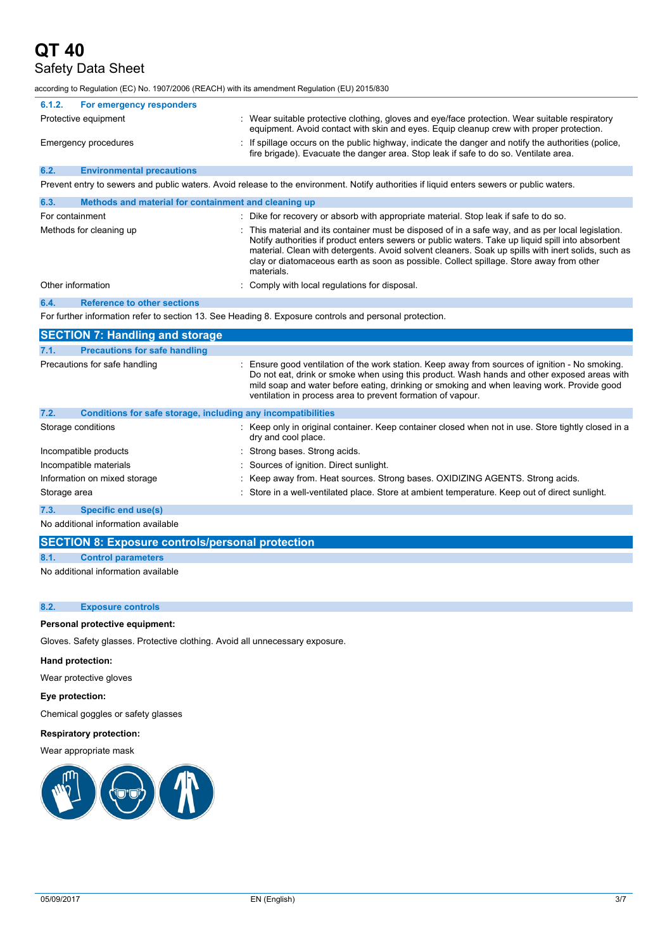## Safety Data Sheet

according to Regulation (EC) No. 1907/2006 (REACH) with its amendment Regulation (EU) 2015/830

| 6.1.2.<br>For emergency responders                                   |                                                                                                                                                                                                                                                                                                                                                                                                                      |
|----------------------------------------------------------------------|----------------------------------------------------------------------------------------------------------------------------------------------------------------------------------------------------------------------------------------------------------------------------------------------------------------------------------------------------------------------------------------------------------------------|
| Protective equipment                                                 | : Wear suitable protective clothing, gloves and eye/face protection. Wear suitable respiratory<br>equipment. Avoid contact with skin and eyes. Equip cleanup crew with proper protection.                                                                                                                                                                                                                            |
| Emergency procedures                                                 | If spillage occurs on the public highway, indicate the danger and notify the authorities (police,<br>fire brigade). Evacuate the danger area. Stop leak if safe to do so. Ventilate area.                                                                                                                                                                                                                            |
| 6.2.<br><b>Environmental precautions</b>                             |                                                                                                                                                                                                                                                                                                                                                                                                                      |
|                                                                      | Prevent entry to sewers and public waters. Avoid release to the environment. Notify authorities if liquid enters sewers or public waters.                                                                                                                                                                                                                                                                            |
| 6.3.<br>Methods and material for containment and cleaning up         |                                                                                                                                                                                                                                                                                                                                                                                                                      |
| For containment                                                      | : Dike for recovery or absorb with appropriate material. Stop leak if safe to do so.                                                                                                                                                                                                                                                                                                                                 |
| Methods for cleaning up                                              | This material and its container must be disposed of in a safe way, and as per local legislation.<br>Notify authorities if product enters sewers or public waters. Take up liquid spill into absorbent<br>material. Clean with detergents. Avoid solvent cleaners. Soak up spills with inert solids, such as<br>clay or diatomaceous earth as soon as possible. Collect spillage. Store away from other<br>materials. |
| Other information                                                    | Comply with local regulations for disposal.                                                                                                                                                                                                                                                                                                                                                                          |
| <b>Reference to other sections</b><br>6.4.                           |                                                                                                                                                                                                                                                                                                                                                                                                                      |
|                                                                      | For further information refer to section 13. See Heading 8. Exposure controls and personal protection.                                                                                                                                                                                                                                                                                                               |
| <b>SECTION 7: Handling and storage</b>                               |                                                                                                                                                                                                                                                                                                                                                                                                                      |
| <b>Precautions for safe handling</b><br>7.1.                         |                                                                                                                                                                                                                                                                                                                                                                                                                      |
| Precautions for safe handling                                        | Ensure good ventilation of the work station. Keep away from sources of ignition - No smoking.<br>Do not eat, drink or smoke when using this product. Wash hands and other exposed areas with<br>mild soap and water before eating, drinking or smoking and when leaving work. Provide good<br>ventilation in process area to prevent formation of vapour.                                                            |
| 7.2.<br>Conditions for safe storage, including any incompatibilities |                                                                                                                                                                                                                                                                                                                                                                                                                      |
| Storage conditions                                                   | : Keep only in original container. Keep container closed when not in use. Store tightly closed in a<br>dry and cool place.                                                                                                                                                                                                                                                                                           |
| Incompatible products                                                | Strong bases. Strong acids.                                                                                                                                                                                                                                                                                                                                                                                          |
| Incompatible materials                                               | Sources of ignition. Direct sunlight.                                                                                                                                                                                                                                                                                                                                                                                |
| Information on mixed storage                                         | Keep away from. Heat sources. Strong bases. OXIDIZING AGENTS. Strong acids.                                                                                                                                                                                                                                                                                                                                          |
| Storage area                                                         | : Store in a well-ventilated place. Store at ambient temperature. Keep out of direct sunlight.                                                                                                                                                                                                                                                                                                                       |
| 7.3.<br><b>Specific end use(s)</b>                                   |                                                                                                                                                                                                                                                                                                                                                                                                                      |
| No additional information quailable                                  |                                                                                                                                                                                                                                                                                                                                                                                                                      |

No additional information available

#### **SECTION 8: Exposure controls/personal protection**

#### **8.1. Control parameters**

No additional information available

#### **8.2. Exposure controls**

#### **Personal protective equipment:**

Gloves. Safety glasses. Protective clothing. Avoid all unnecessary exposure.

#### **Hand protection:**

Wear protective gloves

#### **Eye protection:**

Chemical goggles or safety glasses

#### **Respiratory protection:**

#### Wear appropriate mask

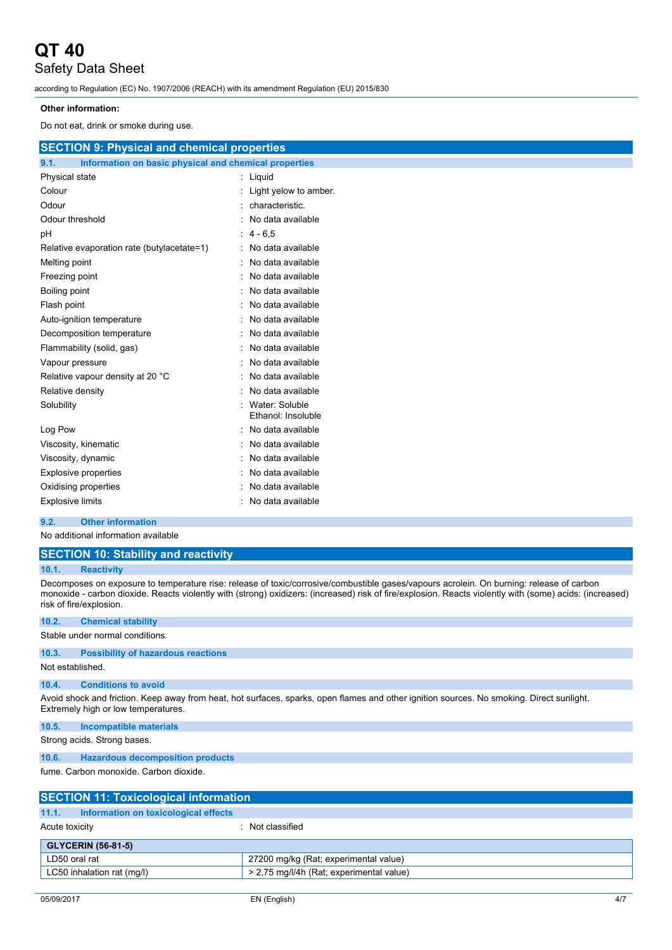## Safety Data Sheet

according to Regulation (EC) No. 1907/2006 (REACH) with its amendment Regulation (EU) 2015/830

#### **Other information:**

Do not eat, drink or smoke during use.

| <b>SECTION 9: Physical and chemical properties</b>            |                                      |
|---------------------------------------------------------------|--------------------------------------|
| 9.1.<br>Information on basic physical and chemical properties |                                      |
| Physical state                                                | : Liquid                             |
| Colour                                                        | : Light yelow to amber.              |
| Odour                                                         | characteristic.                      |
| Odour threshold                                               | No data available                    |
| рH                                                            | $: 4 - 6.5$                          |
| Relative evaporation rate (butylacetate=1)                    | No data available                    |
| Melting point                                                 | No data available                    |
| Freezing point                                                | No data available                    |
| Boiling point                                                 | No data available                    |
| Flash point                                                   | No data available                    |
| Auto-ignition temperature                                     | No data available                    |
| Decomposition temperature                                     | No data available                    |
| Flammability (solid, gas)                                     | No data available                    |
| Vapour pressure                                               | No data available                    |
| Relative vapour density at 20 °C                              | No data available                    |
| Relative density                                              | No data available                    |
| Solubility                                                    | Water: Soluble<br>Ethanol: Insoluble |
| Log Pow                                                       | No data available                    |
| Viscosity, kinematic                                          | No data available                    |
| Viscosity, dynamic                                            | No data available                    |
| <b>Explosive properties</b>                                   | No data available                    |
| Oxidising properties                                          | No data available                    |
| <b>Explosive limits</b>                                       | No data available                    |
| Q <sub>2</sub><br>Other information                           |                                      |

#### **9.2. Other information**

No additional information available

|  |  |  |  |  |  |  |  |  |  |  |  | <b>SECTION 10: Stability and reactivity</b> |  |
|--|--|--|--|--|--|--|--|--|--|--|--|---------------------------------------------|--|
|--|--|--|--|--|--|--|--|--|--|--|--|---------------------------------------------|--|

#### **10.1. Reactivity**

Decomposes on exposure to temperature rise: release of toxic/corrosive/combustible gases/vapours acrolein. On burning: release of carbon monoxide - carbon dioxide. Reacts violently with (strong) oxidizers: (increased) risk of fire/explosion. Reacts violently with (some) acids: (increased) risk of fire/explosion.

| 10.2.            | <b>Chemical stability</b>                                              |                                                                                                                                           |  |
|------------------|------------------------------------------------------------------------|-------------------------------------------------------------------------------------------------------------------------------------------|--|
|                  | Stable under normal conditions.                                        |                                                                                                                                           |  |
| 10.3.            | <b>Possibility of hazardous reactions</b>                              |                                                                                                                                           |  |
| Not established. |                                                                        |                                                                                                                                           |  |
| 10.4.            | <b>Conditions to avoid</b>                                             |                                                                                                                                           |  |
|                  | Extremely high or low temperatures.                                    | Avoid shock and friction. Keep away from heat, hot surfaces, sparks, open flames and other ignition sources. No smoking. Direct sunlight. |  |
| 10.5.            | <b>Incompatible materials</b>                                          |                                                                                                                                           |  |
|                  | Strong acids. Strong bases.                                            |                                                                                                                                           |  |
| 10.6.            | <b>Hazardous decomposition products</b>                                |                                                                                                                                           |  |
|                  | fume. Carbon monoxide. Carbon dioxide.                                 |                                                                                                                                           |  |
|                  | <b>SECTION 11: Toxicological information</b>                           |                                                                                                                                           |  |
| 11.1.            | Information on toxicological effects                                   |                                                                                                                                           |  |
| Acute toxicity   |                                                                        | : Not classified                                                                                                                          |  |
|                  | <b>GLYCERIN (56-81-5)</b>                                              |                                                                                                                                           |  |
| LD50 oral rat    |                                                                        | 27200 mg/kg (Rat; experimental value)                                                                                                     |  |
|                  | > 2.75 mg/l/4h (Rat: experimental value)<br>LC50 inhalation rat (mg/l) |                                                                                                                                           |  |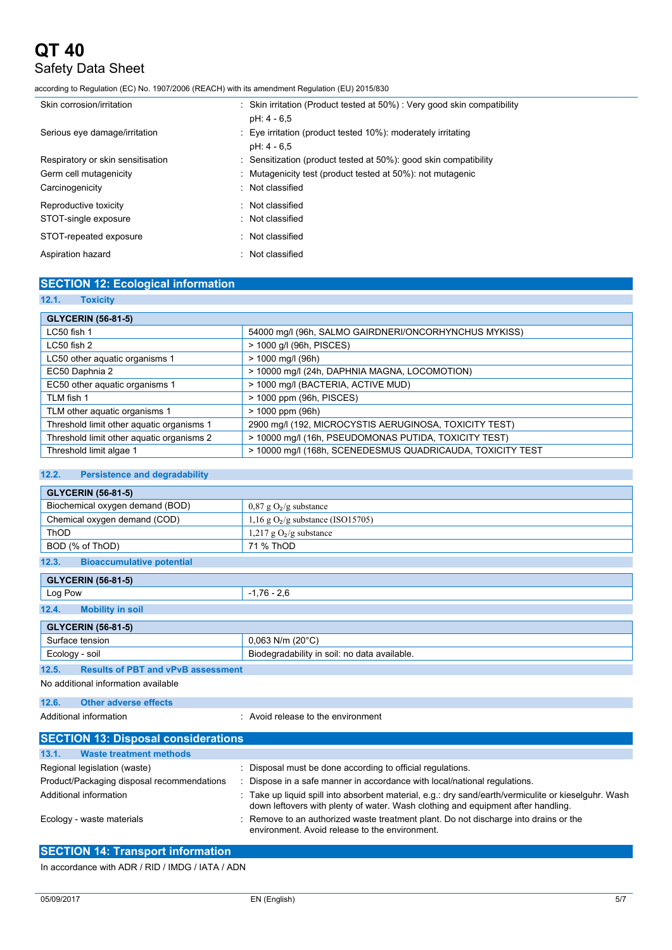# **QT 40** Safety Data Sheet

according to Regulation (EC) No. 1907/2006 (REACH) with its amendment Regulation (EU) 2015/830

| Skin corrosion/irritation                                                      | : Skin irritation (Product tested at 50%) : Very good skin compatibility<br>pH: 4 - 6.5                                                            |
|--------------------------------------------------------------------------------|----------------------------------------------------------------------------------------------------------------------------------------------------|
| Serious eye damage/irritation                                                  | : Eye irritation (product tested 10%): moderately irritating<br>pH: 4 - 6.5                                                                        |
| Respiratory or skin sensitisation<br>Germ cell mutagenicity<br>Carcinogenicity | : Sensitization (product tested at 50%): good skin compatibility<br>: Mutagenicity test (product tested at 50%): not mutagenic<br>: Not classified |
| Reproductive toxicity<br>STOT-single exposure                                  | : Not classified<br>: Not classified                                                                                                               |
| STOT-repeated exposure                                                         | : Not classified                                                                                                                                   |
| Aspiration hazard                                                              | : Not classified                                                                                                                                   |

### **SECTION 12: Ecological information**

#### **12.1. Toxicity**

| <b>GLYCERIN (56-81-5)</b>                 |                                                            |  |  |  |
|-------------------------------------------|------------------------------------------------------------|--|--|--|
| LC50 fish 1                               | 54000 mg/l (96h, SALMO GAIRDNERI/ONCORHYNCHUS MYKISS)      |  |  |  |
| $LC50$ fish $2$                           | > 1000 g/l (96h, PISCES)                                   |  |  |  |
| LC50 other aquatic organisms 1            | $> 1000$ mg/l (96h)                                        |  |  |  |
| EC50 Daphnia 2                            | > 10000 mg/l (24h, DAPHNIA MAGNA, LOCOMOTION)              |  |  |  |
| EC50 other aquatic organisms 1            | > 1000 mg/l (BACTERIA, ACTIVE MUD)                         |  |  |  |
| TLM fish 1                                | > 1000 ppm (96h, PISCES)                                   |  |  |  |
| TLM other aquatic organisms 1             | $> 1000$ ppm (96h)                                         |  |  |  |
| Threshold limit other aquatic organisms 1 | 2900 mg/l (192, MICROCYSTIS AERUGINOSA, TOXICITY TEST)     |  |  |  |
| Threshold limit other aquatic organisms 2 | > 10000 mg/l (16h, PSEUDOMONAS PUTIDA, TOXICITY TEST)      |  |  |  |
| Threshold limit algae 1                   | > 10000 mg/l (168h, SCENEDESMUS QUADRICAUDA, TOXICITY TEST |  |  |  |

#### **12.2. Persistence and degradability**

| <b>GLYCERIN (56-81-5)</b>                          |                                              |  |
|----------------------------------------------------|----------------------------------------------|--|
| Biochemical oxygen demand (BOD)                    | $0.87$ g O <sub>2</sub> /g substance         |  |
| Chemical oxygen demand (COD)                       | 1,16 g $O_2/g$ substance (ISO15705)          |  |
| <b>ThOD</b>                                        | 1,217 g $O_2/g$ substance                    |  |
| BOD (% of ThOD)                                    | 71 % ThOD                                    |  |
| <b>Bioaccumulative potential</b><br>12.3.          |                                              |  |
| <b>GLYCERIN (56-81-5)</b>                          |                                              |  |
| Log Pow                                            | $-1,76 - 2,6$                                |  |
| <b>Mobility in soil</b><br>12.4.                   |                                              |  |
| <b>GLYCERIN (56-81-5)</b>                          |                                              |  |
| Surface tension                                    | $0,063$ N/m (20 $^{\circ}$ C)                |  |
| Ecology - soil                                     | Biodegradability in soil: no data available. |  |
| <b>Results of PBT and vPvB assessment</b><br>12.5. |                                              |  |
| Alo additional information available               |                                              |  |

No additional information available

```
12.6. Other adverse effects
```
Additional information **interest in the environment** : Avoid release to the environment

| <b>SECTION 13: Disposal considerations</b> |                                                                                                                                                                                          |  |  |
|--------------------------------------------|------------------------------------------------------------------------------------------------------------------------------------------------------------------------------------------|--|--|
| <b>Waste treatment methods</b><br>13.1.    |                                                                                                                                                                                          |  |  |
| Regional legislation (waste)               | Disposal must be done according to official regulations.                                                                                                                                 |  |  |
| Product/Packaging disposal recommendations | Dispose in a safe manner in accordance with local/national regulations.                                                                                                                  |  |  |
| Additional information                     | : Take up liquid spill into absorbent material, e.g.: dry sand/earth/vermiculite or kieselguhr. Wash<br>down leftovers with plenty of water. Wash clothing and equipment after handling. |  |  |
| Ecology - waste materials                  | : Remove to an authorized waste treatment plant. Do not discharge into drains or the<br>environment. Avoid release to the environment.                                                   |  |  |

### **SECTION 14: Transport information**

In accordance with ADR / RID / IMDG / IATA / ADN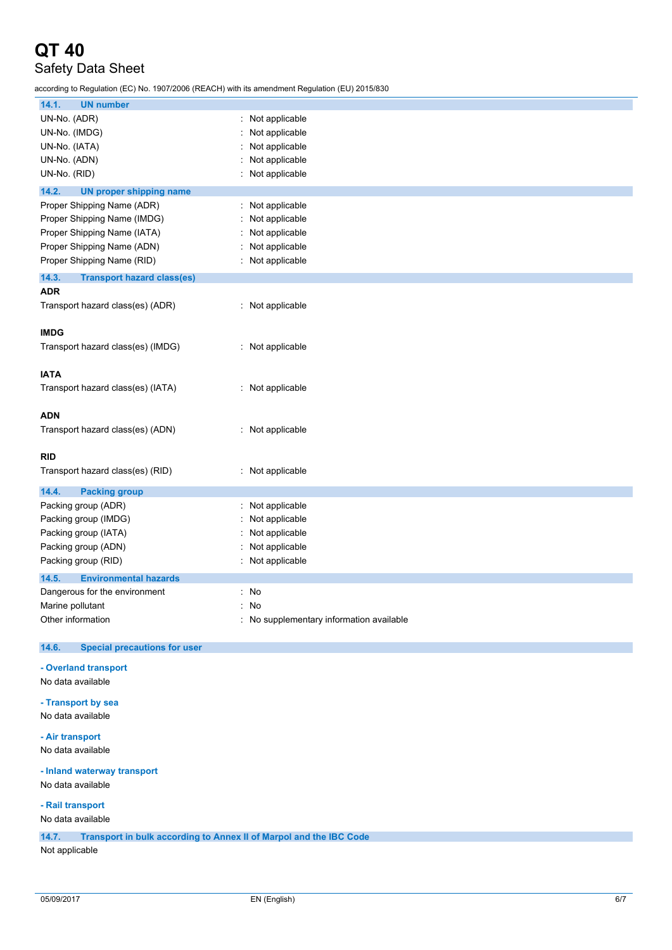## Safety Data Sheet

according to Regulation (EC) No. 1907/2006 (REACH) with its amendment Regulation (EU) 2015/830

| 14.1.<br><b>UN number</b>                    |                                          |
|----------------------------------------------|------------------------------------------|
| UN-No. (ADR)                                 | : Not applicable                         |
| UN-No. (IMDG)                                | : Not applicable                         |
| UN-No. (IATA)                                | : Not applicable                         |
| UN-No. (ADN)                                 | Not applicable<br>÷.                     |
| UN-No. (RID)                                 | : Not applicable                         |
| 14.2.<br><b>UN proper shipping name</b>      |                                          |
| Proper Shipping Name (ADR)                   | : Not applicable                         |
| Proper Shipping Name (IMDG)                  | : Not applicable                         |
| Proper Shipping Name (IATA)                  | : Not applicable                         |
| Proper Shipping Name (ADN)                   | : Not applicable                         |
| Proper Shipping Name (RID)                   | : Not applicable                         |
| 14.3.<br><b>Transport hazard class(es)</b>   |                                          |
| <b>ADR</b>                                   |                                          |
| Transport hazard class(es) (ADR)             | : Not applicable                         |
|                                              |                                          |
| <b>IMDG</b>                                  |                                          |
| Transport hazard class(es) (IMDG)            | : Not applicable                         |
|                                              |                                          |
| <b>IATA</b>                                  |                                          |
| Transport hazard class(es) (IATA)            | : Not applicable                         |
|                                              |                                          |
| <b>ADN</b>                                   |                                          |
| Transport hazard class(es) (ADN)             | : Not applicable                         |
|                                              |                                          |
| <b>RID</b>                                   |                                          |
| Transport hazard class(es) (RID)             | : Not applicable                         |
|                                              |                                          |
| 14.4.<br><b>Packing group</b>                |                                          |
| Packing group (ADR)                          | Not applicable<br>t.                     |
| Packing group (IMDG)                         | Not applicable                           |
| Packing group (IATA)                         | Not applicable                           |
| Packing group (ADN)                          | Not applicable                           |
| Packing group (RID)                          | : Not applicable                         |
| 14.5.<br><b>Environmental hazards</b>        |                                          |
| Dangerous for the environment                | : No                                     |
| Marine pollutant                             | : No                                     |
| Other information                            | : No supplementary information available |
|                                              |                                          |
| 14.6.<br><b>Special precautions for user</b> |                                          |
|                                              |                                          |
| - Overland transport                         |                                          |
|                                              |                                          |
| No data available                            |                                          |
|                                              |                                          |
| - Transport by sea                           |                                          |
| No data available                            |                                          |
| - Air transport                              |                                          |
| No data available                            |                                          |
| - Inland waterway transport                  |                                          |

**- Rail transport**

No data available

**14.7. Transport in bulk according to Annex II of Marpol and the IBC Code**

Not applicable